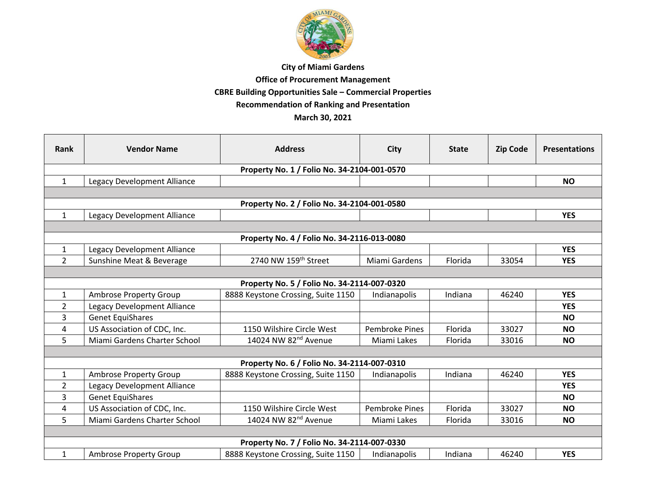

## **City of Miami Gardens**

## **Office of Procurement Management**

**CBRE Building Opportunities Sale – Commercial Properties**

**Recommendation of Ranking and Presentation**

## **March 30, 2021**

| Rank                                        | <b>Vendor Name</b>            | <b>Address</b>                              | <b>City</b>           | <b>State</b> | <b>Zip Code</b> | <b>Presentations</b> |  |  |  |  |
|---------------------------------------------|-------------------------------|---------------------------------------------|-----------------------|--------------|-----------------|----------------------|--|--|--|--|
| Property No. 1 / Folio No. 34-2104-001-0570 |                               |                                             |                       |              |                 |                      |  |  |  |  |
| $\mathbf{1}$                                | Legacy Development Alliance   |                                             |                       |              |                 | <b>NO</b>            |  |  |  |  |
|                                             |                               |                                             |                       |              |                 |                      |  |  |  |  |
| Property No. 2 / Folio No. 34-2104-001-0580 |                               |                                             |                       |              |                 |                      |  |  |  |  |
| $\mathbf{1}$                                | Legacy Development Alliance   |                                             |                       |              |                 | <b>YES</b>           |  |  |  |  |
|                                             |                               |                                             |                       |              |                 |                      |  |  |  |  |
| Property No. 4 / Folio No. 34-2116-013-0080 |                               |                                             |                       |              |                 |                      |  |  |  |  |
| $\mathbf{1}$                                | Legacy Development Alliance   |                                             |                       |              |                 | <b>YES</b>           |  |  |  |  |
| $\overline{2}$                              | Sunshine Meat & Beverage      | 2740 NW 159th Street                        | Miami Gardens         | Florida      | 33054           | <b>YES</b>           |  |  |  |  |
|                                             |                               |                                             |                       |              |                 |                      |  |  |  |  |
| Property No. 5 / Folio No. 34-2114-007-0320 |                               |                                             |                       |              |                 |                      |  |  |  |  |
| $\mathbf{1}$                                | <b>Ambrose Property Group</b> | 8888 Keystone Crossing, Suite 1150          | Indianapolis          | Indiana      | 46240           | <b>YES</b>           |  |  |  |  |
| $\overline{2}$                              | Legacy Development Alliance   |                                             |                       |              |                 | <b>YES</b>           |  |  |  |  |
| 3                                           | <b>Genet EquiShares</b>       |                                             |                       |              |                 | <b>NO</b>            |  |  |  |  |
| 4                                           | US Association of CDC, Inc.   | 1150 Wilshire Circle West                   | <b>Pembroke Pines</b> | Florida      | 33027           | <b>NO</b>            |  |  |  |  |
| 5                                           | Miami Gardens Charter School  | 14024 NW 82 <sup>nd</sup> Avenue            | Miami Lakes           | Florida      | 33016           | <b>NO</b>            |  |  |  |  |
|                                             |                               |                                             |                       |              |                 |                      |  |  |  |  |
|                                             |                               | Property No. 6 / Folio No. 34-2114-007-0310 |                       |              |                 |                      |  |  |  |  |
| $\mathbf{1}$                                | <b>Ambrose Property Group</b> | 8888 Keystone Crossing, Suite 1150          | Indianapolis          | Indiana      | 46240           | <b>YES</b>           |  |  |  |  |
| 2                                           | Legacy Development Alliance   |                                             |                       |              |                 | <b>YES</b>           |  |  |  |  |
| 3                                           | <b>Genet EquiShares</b>       |                                             |                       |              |                 | <b>NO</b>            |  |  |  |  |
| 4                                           | US Association of CDC, Inc.   | 1150 Wilshire Circle West                   | <b>Pembroke Pines</b> | Florida      | 33027           | <b>NO</b>            |  |  |  |  |
| 5                                           | Miami Gardens Charter School  | 14024 NW 82 <sup>nd</sup> Avenue            | Miami Lakes           | Florida      | 33016           | <b>NO</b>            |  |  |  |  |
|                                             |                               |                                             |                       |              |                 |                      |  |  |  |  |
| Property No. 7 / Folio No. 34-2114-007-0330 |                               |                                             |                       |              |                 |                      |  |  |  |  |
| $\mathbf{1}$                                | <b>Ambrose Property Group</b> | 8888 Keystone Crossing, Suite 1150          | Indianapolis          | Indiana      | 46240           | <b>YES</b>           |  |  |  |  |